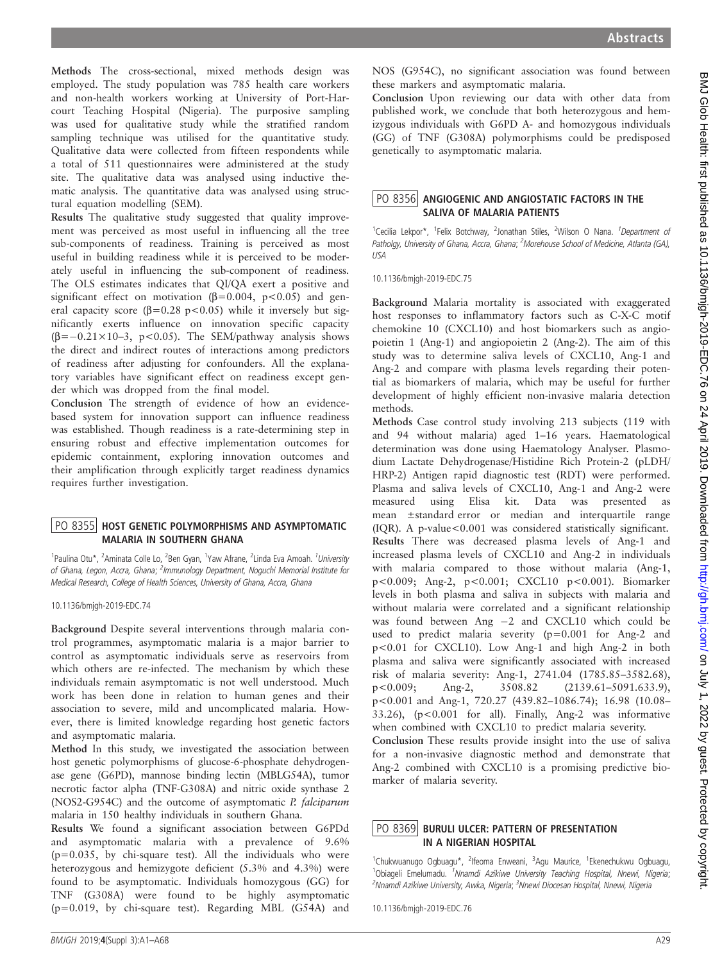and non-health workers working at University of Port-Harcourt Teaching Hospital (Nigeria). The purposive sampling was used for qualitative study while the stratified random sampling technique was utilised for the quantitative study. Qualitative data were collected from fifteen respondents while a total of 511 questionnaires were administered at the study site. The qualitative data was analysed using inductive thematic analysis. The quantitative data was analysed using structural equation modelling (SEM). Results The qualitative study suggested that quality improvement was perceived as most useful in influencing all the tree sub-components of readiness. Training is perceived as most useful in building readiness while it is perceived to be moderately useful in influencing the sub-component of readiness. The OLS estimates indicates that QI/QA exert a positive and significant effect on motivation ( $\beta$ =0.004, p<0.05) and general capacity score ( $\beta$ =0.28 p<0.05) while it inversely but significantly exerts influence on innovation specific capacity  $(\beta=-0.21\times10-3, p<0.05)$ . The SEM/pathway analysis shows the direct and indirect routes of interactions among predictors of readiness after adjusting for confounders. All the explanatory variables have significant effect on readiness except gender which was dropped from the final model. USA

Methods The cross-sectional, mixed methods design was employed. The study population was 785 health care workers

Conclusion The strength of evidence of how an evidencebased system for innovation support can influence readiness was established. Though readiness is a rate-determining step in ensuring robust and effective implementation outcomes for epidemic containment, exploring innovation outcomes and their amplification through explicitly target readiness dynamics requires further investigation.

## PO 8355 HOST GENETIC POLYMORPHISMS AND ASYMPTOMATIC<br>MALARIA IN SOUTHERN GHANA

1<br>Paulina Otu\*, <sup>2</sup>Aminata Colle Lo, <sup>2</sup>Ben Gyan, <sup>1</sup>Yaw Afrane, <sup>2</sup>Linda Eva Amoah. <sup>1</sup>University of Ghana, Legon, Accra, Ghana; <sup>2</sup>Immunology Department, Noguchi Memorial Institute for Medical Research, College of Health Sciences, University of Ghana, Accra, Ghana

10.1136/bmjgh-2019-EDC.74

Background Despite several interventions through malaria control programmes, asymptomatic malaria is a major barrier to control as asymptomatic individuals serve as reservoirs from which others are re-infected. The mechanism by which these individuals remain asymptomatic is not well understood. Much work has been done in relation to human genes and their association to severe, mild and uncomplicated malaria. However, there is limited knowledge regarding host genetic factors and asymptomatic malaria.

Method In this study, we investigated the association between host genetic polymorphisms of glucose-6-phosphate dehydrogenase gene (G6PD), mannose binding lectin (MBLG54A), tumor necrotic factor alpha (TNF-G308A) and nitric oxide synthase 2 (NOS2-G954C) and the outcome of asymptomatic P. falciparum malaria in 150 healthy individuals in southern Ghana.

Results We found a significant association between G6PDd and asymptomatic malaria with a prevalence of 9.6%  $(p=0.035, by chi-square test)$ . All the individuals who were heterozygous and hemizygote deficient (5.3% and 4.3%) were found to be asymptomatic. Individuals homozygous (GG) for TNF (G308A) were found to be highly asymptomatic (p=0.019, by chi-square test). Regarding MBL (G54A) and

NOS (G954C), no significant association was found between these markers and asymptomatic malaria.

Conclusion Upon reviewing our data with other data from published work, we conclude that both heterozygous and hemizygous individuals with G6PD A- and homozygous individuals (GG) of TNF (G308A) polymorphisms could be predisposed genetically to asymptomatic malaria.

# PO 8356 ANGIOGENIC AND ANGIOSTATIC FACTORS IN THE<br>SALIVA OF MALARIA PATIENTS

<sup>1</sup>Cecilia Lekpor\*, <sup>1</sup>Felix Botchway, <sup>2</sup>Jonathan Stiles, <sup>2</sup>Wilson O Nana. <sup>1</sup>Department of Patholgy, University of Ghana, Accra, Ghana; <sup>2</sup>Morehouse School of Medicine, Atlanta (GA),

10.1136/bmjgh-2019-EDC.75

Background Malaria mortality is associated with exaggerated host responses to inflammatory factors such as C-X-C motif chemokine 10 (CXCL10) and host biomarkers such as angiopoietin 1 (Ang-1) and angiopoietin 2 (Ang-2). The aim of this study was to determine saliva levels of CXCL10, Ang-1 and Ang-2 and compare with plasma levels regarding their potential as biomarkers of malaria, which may be useful for further development of highly efficient non-invasive malaria detection methods.

Methods Case control study involving 213 subjects (119 with and 94 without malaria) aged 1–16 years. Haematological determination was done using Haematology Analyser. Plasmodium Lactate Dehydrogenase/Histidine Rich Protein-2 (pLDH/ HRP-2) Antigen rapid diagnostic test (RDT) were performed. Plasma and saliva levels of CXCL10, Ang-1 and Ang-2 were measured using Elisa kit. Data was presented as mean ±standard error or median and interquartile range (IQR). A p-value<0.001 was considered statistically significant. Results There was decreased plasma levels of Ang-1 and increased plasma levels of CXCL10 and Ang-2 in individuals with malaria compared to those without malaria (Ang-1, p<0.009; Ang-2, p<0.001; CXCL10 p<0.001). Biomarker levels in both plasma and saliva in subjects with malaria and without malaria were correlated and a significant relationship was found between Ang  $-2$  and CXCL10 which could be used to predict malaria severity (p=0.001 for Ang-2 and p<0.01 for CXCL10). Low Ang-1 and high Ang-2 in both plasma and saliva were significantly associated with increased risk of malaria severity: Ang-1, 2741.04 (1785.85–3582.68), p<0.009; Ang-2, 3508.82 (2139.61–5091.633.9), p<0.001 and Ang-1, 720.27 (439.82–1086.74); 16.98 (10.08– 33.26), (p<0.001 for all). Finally, Ang-2 was informative when combined with CXCL10 to predict malaria severity.

Conclusion These results provide insight into the use of saliva for a non-invasive diagnostic method and demonstrate that Ang-2 combined with CXCL10 is a promising predictive biomarker of malaria severity.

## PO 8369 BURULI ULCER: PATTERN OF PRESENTATION<br>IN A NIGERIAN HOSPITAL

<sup>1</sup>Chukwuanugo Ogbuagu\*, <sup>2</sup>lfeoma Enweani, <sup>3</sup>Agu Maurice, <sup>1</sup>Ekenechukwu Ogbuagu, <sup>1</sup>Obiageli Emelumadu. <sup>1</sup>Nnamdi Azikiwe University Teaching Hospital, Nnewi, Nigeria; <sup>2</sup>Nnamdi Azikiwe University, Awka, Nigeria; <sup>3</sup>Nnewi Diocesan Hospital, Nnewi, Nigeria

10.1136/bmjgh-2019-EDC.76